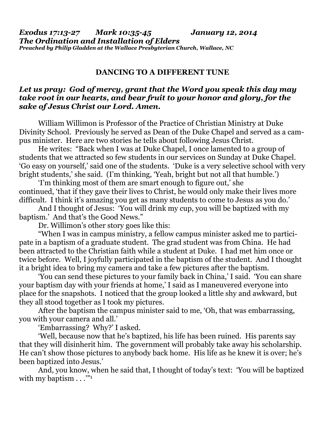*Exodus 17:13-27 Mark 10:35-45 January 12, 2014 The Ordination and Installation of Elders Preached by Philip Gladden at the Wallace Presbyterian Church, Wallace, NC* 

## **DANCING TO A DIFFERENT TUNE**

## *Let us pray: God of mercy, grant that the Word you speak this day may take root in our hearts, and bear fruit to your honor and glory, for the sake of Jesus Christ our Lord. Amen.*

William Willimon is Professor of the Practice of Christian Ministry at Duke Divinity School. Previously he served as Dean of the Duke Chapel and served as a campus minister. Here are two stories he tells about following Jesus Christ.

 He writes: "Back when I was at Duke Chapel, I once lamented to a group of students that we attracted so few students in our services on Sunday at Duke Chapel. 'Go easy on yourself,' said one of the students. 'Duke is a very selective school with very bright students,' she said. (I'm thinking, 'Yeah, bright but not all that humble.')

 'I'm thinking most of them are smart enough to figure out,' she continued, 'that if they gave their lives to Christ, he would only make their lives more difficult. I think it's amazing you get as many students to come to Jesus as you do.'

 And I thought of Jesus: 'You will drink my cup, you will be baptized with my baptism.' And that's the Good News."

Dr. Willimon's other story goes like this:

 "When I was in campus ministry, a fellow campus minister asked me to participate in a baptism of a graduate student. The grad student was from China. He had been attracted to the Christian faith while a student at Duke. I had met him once or twice before. Well, I joyfully participated in the baptism of the student. And I thought it a bright idea to bring my camera and take a few pictures after the baptism.

 'You can send these pictures to your family back in China,' I said. 'You can share your baptism day with your friends at home,' I said as I maneuvered everyone into place for the snapshots. I noticed that the group looked a little shy and awkward, but they all stood together as I took my pictures.

 After the baptism the campus minister said to me, 'Oh, that was embarrassing, you with your camera and all.'

'Embarrassing? Why?' I asked.

 'Well, because now that he's baptized, his life has been ruined. His parents say that they will disinherit him. The government will probably take away his scholarship. He can't show those pictures to anybody back home. His life as he knew it is over; he's been baptized into Jesus.'

 And, you know, when he said that, I thought of today's text: 'You will be baptized with my baptism  $\dots$ <sup>"1</sup>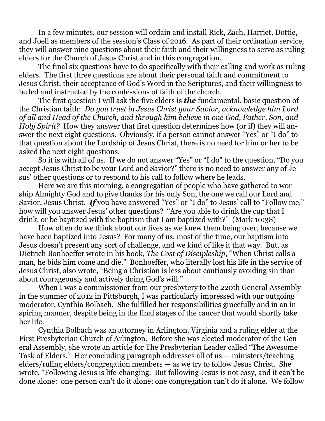In a few minutes, our session will ordain and install Rick, Zach, Harriet, Dottie, and Joell as members of the session's Class of 2016. As part of their ordination service, they will answer nine questions about their faith and their willingness to serve as ruling elders for the Church of Jesus Christ and in this congregation.

 The final six questions have to do specifically with their calling and work as ruling elders. The first three questions are about their personal faith and commitment to Jesus Christ, their acceptance of God's Word in the Scriptures, and their willingness to be led and instructed by the confessions of faith of the church.

 The first question I will ask the five elders is *the* fundamental, basic question of the Christian faith: *Do you trust in Jesus Christ your Savior, acknowledge him Lord of all and Head of the Church, and through him believe in one God, Father, Son, and Holy Spirit?* How they answer that first question determines how (or if) they will answer the next eight questions. Obviously, if a person cannot answer "Yes" or "I do" to that question about the Lordship of Jesus Christ, there is no need for him or her to be asked the next eight questions.

 So it is with all of us. If we do not answer "Yes" or "I do" to the question, "Do you accept Jesus Christ to be your Lord and Savior?" there is no need to answer any of Jesus' other questions or to respond to his call to follow where he leads.

 Here we are this morning, a congregation of people who have gathered to worship Almighty God and to give thanks for his only Son, the one we call our Lord and Savior, Jesus Christ. *If* you have answered "Yes" or "I do" to Jesus' call to "Follow me," how will you answer Jesus' other questions? "Are you able to drink the cup that I drink, or be baptized with the baptism that I am baptized with?" (Mark 10:38)

 How often do we think about our lives as we knew them being over, because we have been baptized into Jesus? For many of us, most of the time, our baptism into Jesus doesn't present any sort of challenge, and we kind of like it that way. But, as Dietrich Bonhoeffer wrote in his book, *The Cost of Discipleship*, "When Christ calls a man, he bids him come and die." Bonhoeffer, who literally lost his life in the service of Jesus Christ, also wrote, "Being a Christian is less about cautiously avoiding sin than about courageously and actively doing God's will."

 When I was a commissioner from our presbytery to the 220th General Assembly in the summer of 2012 in Pittsburgh, I was particularly impressed with our outgoing moderator, Cynthia Bolbach. She fulfilled her responsibilities gracefully and in an inspiring manner, despite being in the final stages of the cancer that would shortly take her life.

 Cynthia Bolbach was an attorney in Arlington, Virginia and a ruling elder at the First Presbyterian Church of Arlington. Before she was elected moderator of the General Assembly, she wrote an article for The Presbyterian Leader called "The Awesome Task of Elders." Her concluding paragraph addresses all of us — ministers/teaching elders/ruling elders/congregation members — as we try to follow Jesus Christ. She wrote, "Following Jesus is life-changing. But following Jesus is not easy, and it can't be done alone: one person can't do it alone; one congregation can't do it alone. We follow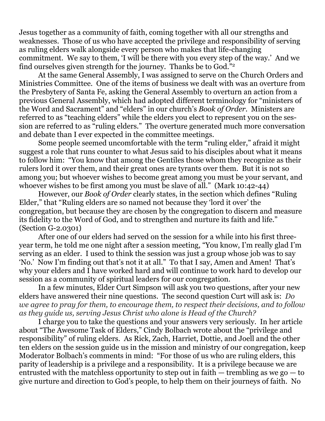Jesus together as a community of faith, coming together with all our strengths and weaknesses. Those of us who have accepted the privilege and responsibility of serving as ruling elders walk alongside every person who makes that life-changing commitment. We say to them, 'I will be there with you every step of the way.' And we find ourselves given strength for the journey. Thanks be to God."2

At the same General Assembly, I was assigned to serve on the Church Orders and Ministries Committee. One of the items of business we dealt with was an overture from the Presbytery of Santa Fe, asking the General Assembly to overturn an action from a previous General Assembly, which had adopted different terminology for "ministers of the Word and Sacrament" and "elders" in our church's *Book of Order*. Ministers are referred to as "teaching elders" while the elders you elect to represent you on the session are referred to as "ruling elders." The overture generated much more conversation and debate than I ever expected in the committee meetings.

 Some people seemed uncomfortable with the term "ruling elder," afraid it might suggest a role that runs counter to what Jesus said to his disciples about what it means to follow him: "You know that among the Gentiles those whom they recognize as their rulers lord it over them, and their great ones are tyrants over them. But it is not so among you; but whoever wishes to become great among you must be your servant, and whoever wishes to be first among you must be slave of all." (Mark 10:42-44)

 However, our *Book of Order* clearly states, in the section which defines "Ruling Elder," that "Ruling elders are so named not because they 'lord it over' the congregation, but because they are chosen by the congregation to discern and measure its fidelity to the Word of God, and to strengthen and nurture its faith and life." (Section G-2.0301)

 After one of our elders had served on the session for a while into his first threeyear term, he told me one night after a session meeting, "You know, I'm really glad I'm serving as an elder. I used to think the session was just a group whose job was to say 'No.' Now I'm finding out that's not it at all." To that I say, Amen and Amen! That's why your elders and I have worked hard and will continue to work hard to develop our session as a community of spiritual leaders for our congregation.

 In a few minutes, Elder Curt Simpson will ask you two questions, after your new elders have answered their nine questions. The second question Curt will ask is: *Do we agree to pray for them, to encourage them, to respect their decisions, and to follow as they guide us, serving Jesus Christ who alone is Head of the Church?*

I charge you to take the questions and your answers very seriously. In her article about "The Awesome Task of Elders," Cindy Bolbach wrote about the "privilege and responsibility" of ruling elders. As Rick, Zach, Harriet, Dottie, and Joell and the other ten elders on the session guide us in the mission and ministry of our congregation, keep Moderator Bolbach's comments in mind: "For those of us who are ruling elders, this parity of leadership is a privilege and a responsibility. It is a privilege because we are entrusted with the matchless opportunity to step out in faith  $-$  trembling as we go  $-$  to give nurture and direction to God's people, to help them on their journeys of faith. No